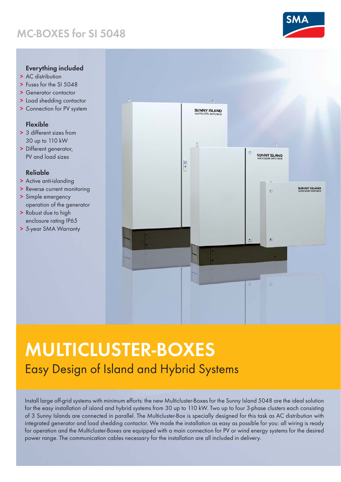### MC-BOXES for SI 5048



- > AC distribution
- > Fuses for the SI 5048
- > Generator contactor
- > Load shedding contactor
- > Connection for PV system

#### Flexible

- > 3 different sizes from 30 up to 110 kW
- > Different generator, PV and load sizes

#### Reliable

- > Active anti-islanding
- > Reverse current monitoring
- > Simple emergency operation of the generator
- > Robust due to high enclosure rating IP65
- > 5-year SMA Warranty



# MULTICLUSTER-BOXES Easy Design of Island and Hybrid Systems

Install large off-grid systems with minimum efforts: the new Multicluster-Boxes for the Sunny Island 5048 are the ideal solution for the easy installation of island and hybrid systems from 30 up to 110 kW. Two up to four 3-phase clusters each consisting of 3 Sunny Islands are connected in parallel. The Multicluster-Box is specially designed for this task as AC distribution with integrated generator and load shedding contactor. We made the installation as easy as possible for you: all wiring is ready for operation and the Multicluster-Boxes are equipped with a main connection for PV or wind energy systems for the desired power range. The communication cables necessary for the installation are all included in delivery.